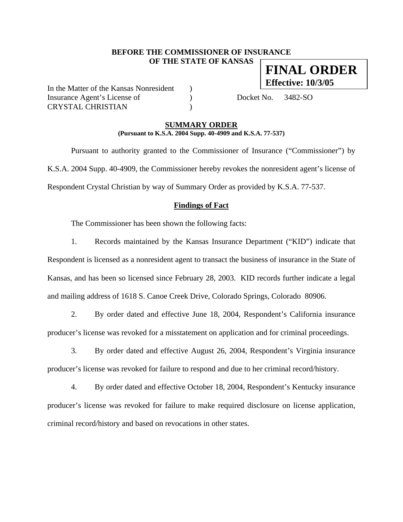#### **BEFORE THE COMMISSIONER OF INSURANCE OF THE STATE OF KANSAS FINAL ORDER**

In the Matter of the Kansas Nonresident ) Insurance Agent's License of (a) Docket No. 3482-SO CRYSTAL CHRISTIAN )

**Effective: 10/3/05**

#### **SUMMARY ORDER (Pursuant to K.S.A. 2004 Supp. 40-4909 and K.S.A. 77-537)**

 Pursuant to authority granted to the Commissioner of Insurance ("Commissioner") by K.S.A. 2004 Supp. 40-4909, the Commissioner hereby revokes the nonresident agent's license of Respondent Crystal Christian by way of Summary Order as provided by K.S.A. 77-537.

#### **Findings of Fact**

The Commissioner has been shown the following facts:

1. Records maintained by the Kansas Insurance Department ("KID") indicate that Respondent is licensed as a nonresident agent to transact the business of insurance in the State of Kansas, and has been so licensed since February 28, 2003. KID records further indicate a legal and mailing address of 1618 S. Canoe Creek Drive, Colorado Springs, Colorado 80906.

2. By order dated and effective June 18, 2004, Respondent's California insurance producer's license was revoked for a misstatement on application and for criminal proceedings.

3. By order dated and effective August 26, 2004, Respondent's Virginia insurance producer's license was revoked for failure to respond and due to her criminal record/history.

4. By order dated and effective October 18, 2004, Respondent's Kentucky insurance producer's license was revoked for failure to make required disclosure on license application, criminal record/history and based on revocations in other states.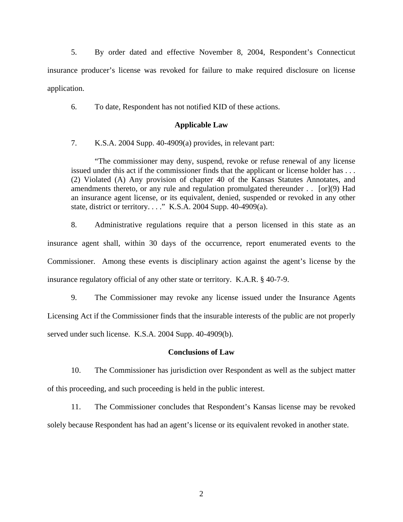5. By order dated and effective November 8, 2004, Respondent's Connecticut insurance producer's license was revoked for failure to make required disclosure on license application.

6. To date, Respondent has not notified KID of these actions.

#### **Applicable Law**

7. K.S.A. 2004 Supp. 40-4909(a) provides, in relevant part:

"The commissioner may deny, suspend, revoke or refuse renewal of any license issued under this act if the commissioner finds that the applicant or license holder has . . . (2) Violated (A) Any provision of chapter 40 of the Kansas Statutes Annotates, and amendments thereto, or any rule and regulation promulgated thereunder . . [or](9) Had an insurance agent license, or its equivalent, denied, suspended or revoked in any other state, district or territory. . . ." K.S.A. 2004 Supp. 40-4909(a).

8. Administrative regulations require that a person licensed in this state as an insurance agent shall, within 30 days of the occurrence, report enumerated events to the Commissioner. Among these events is disciplinary action against the agent's license by the insurance regulatory official of any other state or territory. K.A.R. § 40-7-9.

9. The Commissioner may revoke any license issued under the Insurance Agents Licensing Act if the Commissioner finds that the insurable interests of the public are not properly served under such license. K.S.A. 2004 Supp. 40-4909(b).

#### **Conclusions of Law**

10. The Commissioner has jurisdiction over Respondent as well as the subject matter of this proceeding, and such proceeding is held in the public interest.

11. The Commissioner concludes that Respondent's Kansas license may be revoked solely because Respondent has had an agent's license or its equivalent revoked in another state.

2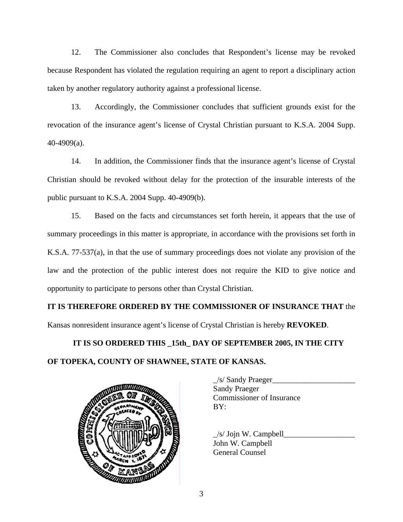12. The Commissioner also concludes that Respondent's license may be revoked because Respondent has violated the regulation requiring an agent to report a disciplinary action taken by another regulatory authority against a professional license.

13. Accordingly, the Commissioner concludes that sufficient grounds exist for the revocation of the insurance agent's license of Crystal Christian pursuant to K.S.A. 2004 Supp. 40-4909(a).

14. In addition, the Commissioner finds that the insurance agent's license of Crystal Christian should be revoked without delay for the protection of the insurable interests of the public pursuant to K.S.A. 2004 Supp. 40-4909(b).

15. Based on the facts and circumstances set forth herein, it appears that the use of summary proceedings in this matter is appropriate, in accordance with the provisions set forth in K.S.A. 77-537(a), in that the use of summary proceedings does not violate any provision of the law and the protection of the public interest does not require the KID to give notice and opportunity to participate to persons other than Crystal Christian.

**IT IS THEREFORE ORDERED BY THE COMMISSIONER OF INSURANCE THAT** the Kansas nonresident insurance agent's license of Crystal Christian is hereby **REVOKED**.

# **IT IS SO ORDERED THIS \_15th\_ DAY OF SEPTEMBER 2005, IN THE CITY OF TOPEKA, COUNTY OF SHAWNEE, STATE OF KANSAS.**



 $\angle$ s/ Sandy Praeger $\angle$ Sandy Praeger Commissioner of Insurance

 $\angle$ s/ Jojn W. Campbell $\Box$ John W. Campbell General Counsel

3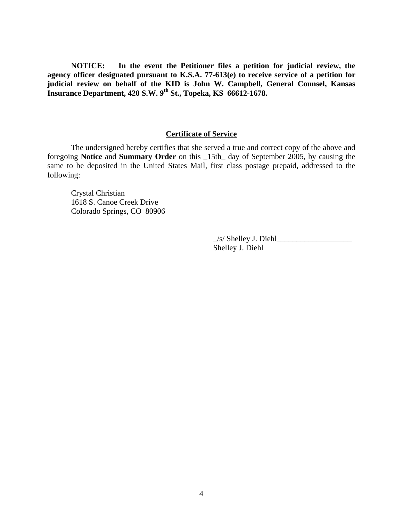**NOTICE: In the event the Petitioner files a petition for judicial review, the agency officer designated pursuant to K.S.A. 77-613(e) to receive service of a petition for judicial review on behalf of the KID is John W. Campbell, General Counsel, Kansas Insurance Department, 420 S.W. 9th St., Topeka, KS 66612-1678.** 

#### **Certificate of Service**

 The undersigned hereby certifies that she served a true and correct copy of the above and foregoing **Notice** and **Summary Order** on this \_15th\_ day of September 2005, by causing the same to be deposited in the United States Mail, first class postage prepaid, addressed to the following:

 Crystal Christian 1618 S. Canoe Creek Drive Colorado Springs, CO 80906

> $\angle$ s/ Shelley J. Diehl $\angle$ Shelley J. Diehl